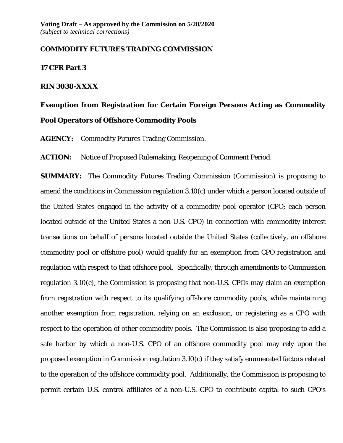### **COMMODITY FUTURES TRADING COMMISSION**

#### **17 CFR Part 3**

### **RIN 3038-XXXX**

# **Exemption from Registration for Certain Foreign Persons Acting as Commodity Pool Operators of Offshore Commodity Pools**

**AGENCY:** Commodity Futures Trading Commission.

**ACTION:** Notice of Proposed Rulemaking; Reopening of Comment Period.

**SUMMARY:** The Commodity Futures Trading Commission (Commission) is proposing to amend the conditions in Commission regulation 3.10(c) under which a person located outside of the United States engaged in the activity of a commodity pool operator (CPO; each person located outside of the United States a non-U.S. CPO) in connection with commodity interest transactions on behalf of persons located outside the United States (collectively, an offshore commodity pool or offshore pool) would qualify for an exemption from CPO registration and regulation with respect to that offshore pool. Specifically, through amendments to Commission regulation 3.10(c), the Commission is proposing that non-U.S. CPOs may claim an exemption from registration with respect to its qualifying offshore commodity pools, while maintaining another exemption from registration, relying on an exclusion, or registering as a CPO with respect to the operation of other commodity pools. The Commission is also proposing to add a safe harbor by which a non-U.S. CPO of an offshore commodity pool may rely upon the proposed exemption in Commission regulation 3.10(c) if they satisfy enumerated factors related to the operation of the offshore commodity pool. Additionally, the Commission is proposing to permit certain U.S. control affiliates of a non-U.S. CPO to contribute capital to such CPO's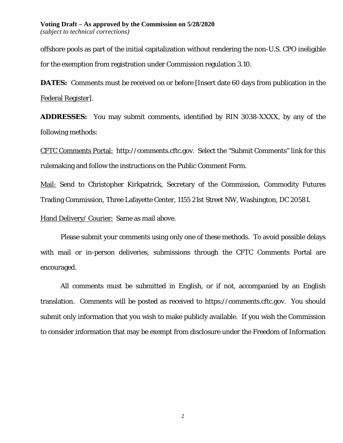offshore pools as part of the initial capitalization without rendering the non-U.S. CPO ineligible for the exemption from registration under Commission regulation 3.10.

**DATES:** Comments must be received on or before [Insert date 60 days from publication in the Federal Register].

**ADDRESSES:** You may submit comments, identified by RIN 3038-XXXX, by any of the following methods:

CFTC Comments Portal:http://comments.cftc.gov*.* Select the "Submit Comments" link for this rulemaking and follow the instructions on the Public Comment Form.

Mail: Send to Christopher Kirkpatrick, Secretary of the Commission, Commodity Futures Trading Commission, Three Lafayette Center, 1155 21st Street NW, Washington, DC 20581.

Hand Delivery/ Courier: Same as mail above.

Please submit your comments using only one of these methods. To avoid possible delays with mail or in-person deliveries, submissions through the CFTC Comments Portal are encouraged.

All comments must be submitted in English, or if not, accompanied by an English translation. Comments will be posted as received to https://comments.cftc.gov. You should submit only information that you wish to make publicly available. If you wish the Commission to consider information that may be exempt from disclosure under the Freedom of Information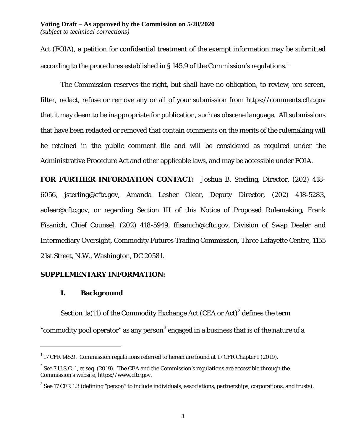Act (FOIA), a petition for confidential treatment of the exempt information may be submitted according to the procedures established in § [1](#page-2-0)45.9 of the Commission's regulations.<sup>1</sup>

The Commission reserves the right, but shall have no obligation, to review, pre-screen, filter, redact, refuse or remove any or all of your submission from https://comments.cftc.gov that it may deem to be inappropriate for publication, such as obscene language. All submissions that have been redacted or removed that contain comments on the merits of the rulemaking will be retained in the public comment file and will be considered as required under the Administrative Procedure Act and other applicable laws, and may be accessible under FOIA.

**FOR FURTHER INFORMATION CONTACT:** Joshua B. Sterling, Director, (202) 418- 6056, jsterling@cftc.gov, Amanda Lesher Olear, Deputy Director, (202) 418-5283, aolear@cftc.gov, or regarding Section III of this Notice of Proposed Rulemaking, Frank Fisanich, Chief Counsel, (202) 418-5949, ffisanich@cftc.gov, Division of Swap Dealer and Intermediary Oversight, Commodity Futures Trading Commission, Three Lafayette Centre, 1155 21st Street, N.W., Washington, DC 20581.

## **SUPPLEMENTARY INFORMATION:**

## **I. Background**

 $\overline{a}$ 

Section 1a(11) of the Commodity Exchange Act (CEA or Act) $^2$  $^2$  defines the term "commodity pool operator" as any person<sup>[3](#page-2-2)</sup> engaged in a business that is of the nature of a

<span id="page-2-0"></span> $^{\rm 1}$  17 CFR 145.9. Commission regulations referred to herein are found at 17 CFR Chapter I (2019).

<span id="page-2-1"></span> $^2$  *See* 7 U.S.C. 1, <u>et seq.</u> (2019). The CEA and the Commission's regulations are accessible through the Commission's website, https://www.cftc.gov.

<span id="page-2-2"></span><sup>&</sup>lt;sup>3</sup> See 17 CFR 1.3 (defining "person" to include individuals, associations, partnerships, corporations, and trusts).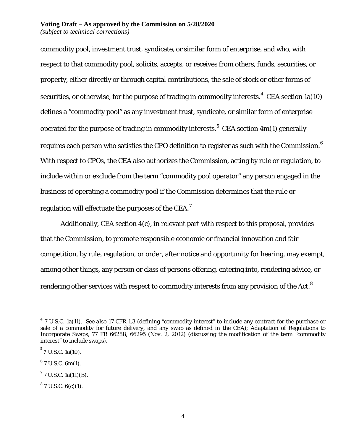#### **Voting Draft – As approved by the Commission on 5/28/2020** *(subject to technical corrections)*

commodity pool, investment trust, syndicate, or similar form of enterprise, and who, with respect to that commodity pool, solicits, accepts, or receives from others, funds, securities, or property, either directly or through capital contributions, the sale of stock or other forms of securities, or otherwise, for the purpose of trading in commodity interests. $^4\,$  $^4\,$  $^4\,$  CEA section 1a(10) defines a "commodity pool" as any investment trust, syndicate, or similar form of enterprise operated for the purpose of trading in commodity interests. $^5\,$  $^5\,$  $^5\,$  CEA section 4m(1) generally requires each person who satisfies the CPO definition to register as such with the Commission.  $^6$  $^6$ With respect to CPOs, the CEA also authorizes the Commission, acting by rule or regulation, to include within or exclude from the term "commodity pool operator" any person engaged in the business of operating a commodity pool if the Commission determines that the rule or regulation will effectuate the purposes of the CEA. $^7$  $^7$ 

Additionally, CEA section 4(c), in relevant part with respect to this proposal, provides that the Commission, to promote responsible economic or financial innovation and fair competition, by rule, regulation, or order, after notice and opportunity for hearing, may exempt, among other things, any person or class of persons offering, entering into, rendering advice, or rendering other services with respect to commodity interests from any provision of the Act. $^8$  $^8$ 

 $\overline{a}$ 

<span id="page-3-2"></span> $6$  7 U.S.C. 6m(1).

<span id="page-3-4"></span> $8$  7 U.S.C. 6(c)(1).

<span id="page-3-0"></span><sup>4</sup> 7 U.S.C. 1a(11). *See also* 17 CFR 1.3 (defining "commodity interest" to include any contract for the purchase or sale of a commodity for future delivery, and any swap as defined in the CEA); Adaptation of Regulations to Incorporate Swaps, 77 FR 66288, 66295 (Nov. 2, 2012) (discussing the modification of the term "commodity interest" to include swaps).

<span id="page-3-1"></span> $5^5$  7 U.S.C. 1a(10).

<span id="page-3-3"></span> $17$  U.S.C. 1a(11)(B).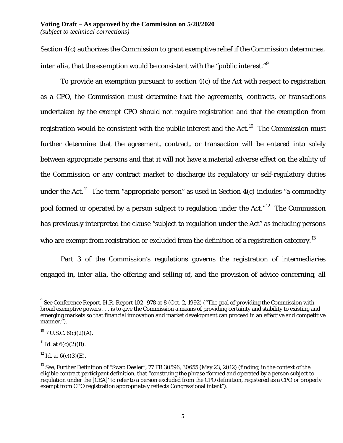Section 4(c) authorizes the Commission to grant exemptive relief if the Commission determines, *inter alia*, that the exemption would be consistent with the "public interest."<sup>[9](#page-4-0)</sup>

To provide an exemption pursuant to section 4(c) of the Act with respect to registration as a CPO, the Commission must determine that the agreements, contracts, or transactions undertaken by the exempt CPO should not require registration and that the exemption from registration would be consistent with the public interest and the Act.<sup>[10](#page-4-1)</sup> The Commission must further determine that the agreement, contract, or transaction will be entered into solely between appropriate persons and that it will not have a material adverse effect on the ability of the Commission or any contract market to discharge its regulatory or self-regulatory duties under the Act.<sup>[11](#page-4-2)</sup> The term "appropriate person" as used in Section  $4(c)$  includes "a commodity pool formed or operated by a person subject to regulation under the Act."<sup>[12](#page-4-3)</sup> The Commission has previously interpreted the clause "subject to regulation under the Act" as including persons who are exempt from registration or excluded from the definition of a registration category.<sup>[13](#page-4-4)</sup>

Part 3 of the Commission's regulations governs the registration of intermediaries engaged in, *inter alia*, the offering and selling of, and the provision of advice concerning, all

<span id="page-4-0"></span><sup>9</sup> *See* Conference Report, H.R. Report 102–978 at 8 (Oct. 2, 1992) (''The goal of providing the Commission with broad exemptive powers . . . is to give the Commission a means of providing certainty and stability to existing and emerging markets so that financial innovation and market development can proceed in an effective and competitive manner.'').

<span id="page-4-1"></span> $10$  7 U.S.C. 6(c)(2)(A).

<span id="page-4-2"></span><sup>&</sup>lt;sup>11</sup> *Id.* at  $6(c)(2)(B)$ .

<span id="page-4-3"></span><sup>&</sup>lt;sup>12</sup> *Id.* at  $6(c)(3)(E)$ .

<span id="page-4-4"></span><sup>&</sup>lt;sup>13</sup> *See*, Further Definition of "Swap Dealer", 77 FR 30596, 30655 (May 23, 2012) (finding, in the context of the eligible contract participant definition, that "construing the phrase 'formed and operated by a person subject to regulation under the [CEA]' to refer to a person excluded from the CPO definition, registered as a CPO or properly exempt from CPO registration appropriately reflects Congressional intent").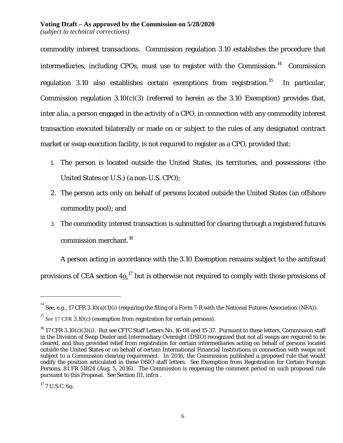commodity interest transactions. Commission regulation 3.10 establishes the procedure that intermediaries, including CPOs, must use to register with the Commission.<sup>14</sup> Commission regulation 3.10 also establishes certain exemptions from registration.<sup>[15](#page-5-1)</sup> In particular, Commission regulation  $3.10(c)(3)$  (referred to herein as the  $3.10$  Exemption) provides that, *inter alia*, a person engaged in the activity of a CPO, in connection with any commodity interest transaction executed bilaterally or made on or subject to the rules of any designated contract market or swap execution facility, is not required to register as a CPO, provided that:

- 1. The person is located outside the United States, its territories, and possessions (the United States or U.S.) (a non-U.S. CPO);
- 2. The person acts only on behalf of persons located outside the United States (an offshore commodity pool); and
- 3. The commodity interest transaction is submitted for clearing through a registered futures commission merchant. [16](#page-5-2)

A person acting in accordance with the 3.10 Exemption remains subject to the antifraud

provisions of CEA section 4<u>0.</u>  $^{17}$  $^{17}$  $^{17}$  but is otherwise not required to comply with those provisions of

<span id="page-5-0"></span> $^{14}$  *See, e.g.*, 17 CFR 3.10(a)(1)(i) (requiring the filing of a Form 7-R with the National Futures Association (NFA)).

<span id="page-5-1"></span><sup>&</sup>lt;sup>15</sup> See 17 CFR 3.10(c) (exemption from registration for certain persons).

<span id="page-5-2"></span><sup>16</sup> 17 CFR 3.10(c)(3)(i). *But see* CFTC Staff Letters No. 16-08 and 15-37. Pursuant to these letters, Commission staff in the Division of Swap Dealer and Intermediary Oversight (DSIO) recognized that not all swaps are required to be cleared, and thus provided relief from registration for certain intermediaries acting on behalf of persons located outside the United States or on behalf of certain International Financial Institutions in connection with swaps not subject to a Commission clearing requirement. In 2016, the Commission published a proposed rule that would codify the position articulated in these DSIO staff letters. *See* Exemption from Registration for Certain Foreign Persons, 81 FR 51824 (Aug. 5, 2016). The Commission is reopening the comment period on such proposed rule pursuant to this Proposal. *See* Section III, *infra* .

<span id="page-5-3"></span> $17$  7 U.S.C. 60.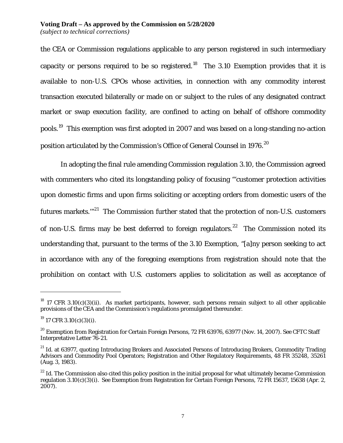the CEA or Commission regulations applicable to any person registered in such intermediary capacity or persons required to be so registered.<sup>[18](#page-6-0)</sup> The 3.10 Exemption provides that it is available to non-U.S. CPOs whose activities, in connection with any commodity interest transaction executed bilaterally or made on or subject to the rules of any designated contract market or swap execution facility, are confined to acting on behalf of offshore commodity pools.[19](#page-6-1) This exemption was first adopted in 2007 and was based on a long-standing no-action position articulated by the Commission's Office of General Counsel in 1976.<sup>[20](#page-6-2)</sup>

In adopting the final rule amending Commission regulation 3.10, the Commission agreed with commenters who cited its longstanding policy of focusing "'customer protection activities upon domestic firms and upon firms soliciting or accepting orders from domestic users of the futures markets."<sup>[21](#page-6-3)</sup> The Commission further stated that the protection of non-U.S. customers of non-U.S. firms may be best deferred to foreign regulators.<sup>[22](#page-6-4)</sup> The Commission noted its understanding that, pursuant to the terms of the 3.10 Exemption, "[a]ny person seeking to act in accordance with any of the foregoing exemptions from registration should note that the prohibition on contact with U.S. customers applies to solicitation as well as acceptance of

<span id="page-6-0"></span> $^{18}$  17 CFR 3.10(c)(3)(ii). As market participants, however, such persons remain subject to all other applicable provisions of the CEA and the Commission's regulations promulgated thereunder.

<span id="page-6-1"></span> $^{19}$  17 CFR 3.10(c)(3)(i).

<span id="page-6-2"></span><sup>20</sup> Exemption from Registration for Certain Foreign Persons, 72 FR 63976, 63977 (Nov. 14, 2007). *See* CFTC Staff Interpretative Letter 76-21.

<span id="page-6-3"></span><sup>&</sup>lt;sup>21</sup> *Id.* at 63977, *quoting* Introducing Brokers and Associated Persons of Introducing Brokers, Commodity Trading Advisors and Commodity Pool Operators; Registration and Other Regulatory Requirements, 48 FR 35248, 35261 (Aug. 3, 1983).

<span id="page-6-4"></span><sup>&</sup>lt;sup>22</sup> *Id.* The Commission also cited this policy position in the initial proposal for what ultimately became Commission regulation 3.10(c)(3)(i). *See* Exemption from Registration for Certain Foreign Persons, 72 FR 15637, 15638 (Apr. 2,  $2007$ ).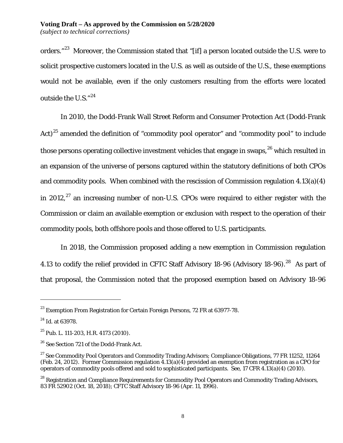orders."<sup>[23](#page-7-0)</sup> Moreover, the Commission stated that "[if] a person located outside the U.S. were to solicit prospective customers located in the U.S. as well as outside of the U.S., these exemptions would not be available, even if the only customers resulting from the efforts were located outside the U.S." $^{24}$  $^{24}$  $^{24}$ 

In 2010, the Dodd-Frank Wall Street Reform and Consumer Protection Act (Dodd-Frank Act)<sup>[25](#page-7-2)</sup> amended the definition of "commodity pool operator" and "commodity pool" to include those persons operating collective investment vehicles that engage in swaps,  $26$  which resulted in an expansion of the universe of persons captured within the statutory definitions of both CPOs and commodity pools. When combined with the rescission of Commission regulation 4.13(a)(4) in 2012, $^{27}$  $^{27}$  $^{27}$  an increasing number of non-U.S. CPOs were required to either register with the Commission or claim an available exemption or exclusion with respect to the operation of their commodity pools, both offshore pools and those offered to U.S. participants.

<span id="page-7-6"></span>In 2018, the Commission proposed adding a new exemption in Commission regulation 4.13 to codify the relief provided in CFTC Staff Advisory 18-96 (Advisory 18-96).<sup>[28](#page-7-5)</sup> As part of that proposal, the Commission noted that the proposed exemption based on Advisory 18-96

<span id="page-7-0"></span> $^{23}$  Exemption From Registration for Certain Foreign Persons, 72 FR at 63977-78.

<span id="page-7-1"></span><sup>24</sup> *Id*. at 63978.

<span id="page-7-2"></span> $25$  Pub. L. 111-203, H.R. 4173 (2010).

<span id="page-7-3"></span><sup>26</sup> *See* Section 721 of the Dodd-Frank Act.

<span id="page-7-4"></span><sup>&</sup>lt;sup>27</sup> See Commodity Pool Operators and Commodity Trading Advisors; Compliance Obligations, 77 FR 11252, 11264 (Feb. 24, 2012). Former Commission regulation 4.13(a)(4) provided an exemption from registration as a CPO for operators of commodity pools offered and sold to sophisticated participants. *See*, 17 CFR 4.13(a)(4) (2010).

<span id="page-7-5"></span><sup>&</sup>lt;sup>28</sup> Registration and Compliance Requirements for Commodity Pool Operators and Commodity Trading Advisors, 83 FR 52902 (Oct. 18, 2018); CFTC Staff Advisory 18-96 (Apr. 11, 1996).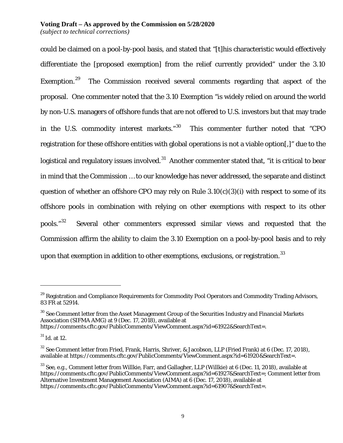could be claimed on a pool-by-pool basis, and stated that "[t]his characteristic would effectively differentiate the [proposed exemption] from the relief currently provided" under the 3.10 Exemption.<sup>29</sup> [29](#page-8-0) The Commission received several comments regarding that aspect of the proposal. One commenter noted that the 3.10 Exemption "is widely relied on around the world by non-U.S. managers of offshore funds that are not offered to U.S. investors but that may trade in the U.S. commodity interest markets."<sup>30</sup> This commenter further noted that "CPO registration for these offshore entities with global operations is not a viable option[,]" due to the logistical and regulatory issues involved.<sup>31</sup> Another commenter stated that, "it is critical to bear in mind that the Commission … to our knowledge has never addressed, the separate and distinct question of whether an offshore CPO may rely on Rule  $3.10(c)(3)(i)$  with respect to some of its offshore pools in combination with relying on other exemptions with respect to its other pools."[32](#page-8-3) Several other commenters expressed similar views and requested that the Commission affirm the ability to claim the 3.10 Exemption on a pool-by-pool basis and to rely upon that exemption in addition to other exemptions, exclusions, or registration.  $33$ 

<span id="page-8-1"></span><sup>30</sup> *See* Comment letter from the Asset Management Group of the Securities Industry and Financial Markets Association (SIFMA AMG) at 9 (Dec. 17, 2018), available at

<span id="page-8-0"></span><sup>&</sup>lt;sup>29</sup> Registration and Compliance Requirements for Commodity Pool Operators and Commodity Trading Advisors, 83 FR at 52914.

https://comments.cftc.gov/PublicComments/ViewComment.aspx?id=61922&SearchText=.

<span id="page-8-2"></span><sup>31</sup> *Id*. at 12.

<span id="page-8-3"></span><sup>32</sup> *See* Comment letter from Fried, Frank, Harris, Shriver, & Jacobson, LLP (Fried Frank) at 6 (Dec. 17, 2018), available at https://comments.cftc.gov/PublicComments/ViewComment.aspx?id=61920&SearchText=.

<span id="page-8-4"></span><sup>33</sup> *See*, *e.g.*, Comment letter from Willkie, Farr, and Gallagher, LLP (Willkie) at 6 (Dec. 11, 2018), available at https://comments.cftc.gov/PublicComments/ViewComment.aspx?id=61927&SearchText=; Comment letter from Alternative Investment Management Association (AIMA) at 6 (Dec. 17, 2018), available at https://comments.cftc.gov/PublicComments/ViewComment.aspx?id=61907&SearchText=.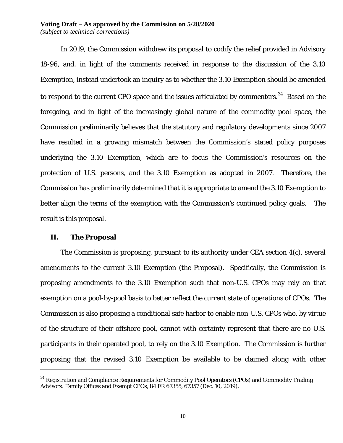#### **Voting Draft – As approved by the Commission on 5/28/2020** *(subject to technical corrections)*

In 2019, the Commission withdrew its proposal to codify the relief provided in Advisory 18-96, and, in light of the comments received in response to the discussion of the 3.10 Exemption, instead undertook an inquiry as to whether the 3.10 Exemption should be amended to respond to the current CPO space and the issues articulated by commenters. $^{34}$  $^{34}$  $^{34}$  Based on the foregoing, and in light of the increasingly global nature of the commodity pool space, the Commission preliminarily believes that the statutory and regulatory developments since 2007 have resulted in a growing mismatch between the Commission's stated policy purposes underlying the 3.10 Exemption, which are to focus the Commission's resources on the protection of U.S. persons, and the 3.10 Exemption as adopted in 2007. Therefore, the Commission has preliminarily determined that it is appropriate to amend the 3.10 Exemption to better align the terms of the exemption with the Commission's continued policy goals. The result is this proposal.

#### **II. The Proposal**

 $\overline{a}$ 

The Commission is proposing, pursuant to its authority under CEA section 4(c), several amendments to the current 3.10 Exemption (the Proposal). Specifically, the Commission is proposing amendments to the 3.10 Exemption such that non-U.S. CPOs may rely on that exemption on a pool-by-pool basis to better reflect the current state of operations of CPOs. The Commission is also proposing a conditional safe harbor to enable non-U.S. CPOs who, by virtue of the structure of their offshore pool, cannot with certainty represent that there are no U.S. participants in their operated pool, to rely on the 3.10 Exemption. The Commission is further proposing that the revised 3.10 Exemption be available to be claimed along with other

<span id="page-9-0"></span> $34$  Registration and Compliance Requirements for Commodity Pool Operators (CPOs) and Commodity Trading Advisors: Family Offices and Exempt CPOs, 84 FR 67355, 67357 (Dec. 10, 2019).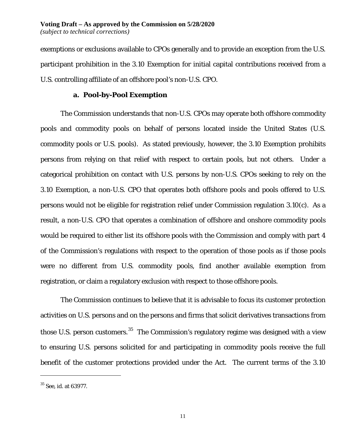exemptions or exclusions available to CPOs generally and to provide an exception from the U.S. participant prohibition in the 3.10 Exemption for initial capital contributions received from a U.S. controlling affiliate of an offshore pool's non-U.S. CPO.

#### **a. Pool-by-Pool Exemption**

The Commission understands that non-U.S. CPOs may operate both offshore commodity pools and commodity pools on behalf of persons located inside the United States (U.S. commodity pools or U.S. pools). As stated previously, however, the 3.10 Exemption prohibits persons from relying on that relief with respect to certain pools, but not others. Under a categorical prohibition on contact with U.S. persons by non-U.S. CPOs seeking to rely on the 3.10 Exemption, a non-U.S. CPO that operates both offshore pools and pools offered to U.S. persons would not be eligible for registration relief under Commission regulation 3.10(c). As a result, a non-U.S. CPO that operates a combination of offshore and onshore commodity pools would be required to either list its offshore pools with the Commission and comply with part 4 of the Commission's regulations with respect to the operation of those pools as if those pools were no different from U.S. commodity pools, find another available exemption from registration, or claim a regulatory exclusion with respect to those offshore pools.

The Commission continues to believe that it is advisable to focus its customer protection activities on U.S. persons and on the persons and firms that solicit derivatives transactions from those U.S. person customers.<sup>[35](#page-10-0)</sup> The Commission's regulatory regime was designed with a view to ensuring U.S. persons solicited for and participating in commodity pools receive the full benefit of the customer protections provided under the Act. The current terms of the 3.10

<span id="page-10-0"></span><sup>35</sup> *See*, *id*. at 63977.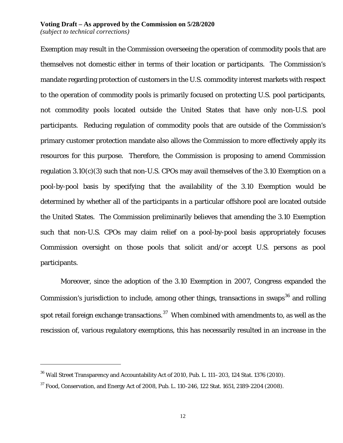#### **Voting Draft – As approved by the Commission on 5/28/2020** *(subject to technical corrections)*

Exemption may result in the Commission overseeing the operation of commodity pools that are themselves not domestic either in terms of their location or participants. The Commission's mandate regarding protection of customers in the U.S. commodity interest markets with respect to the operation of commodity pools is primarily focused on protecting U.S. pool participants, not commodity pools located outside the United States that have only non-U.S. pool participants. Reducing regulation of commodity pools that are outside of the Commission's primary customer protection mandate also allows the Commission to more effectively apply its resources for this purpose. Therefore, the Commission is proposing to amend Commission regulation 3.10(c)(3) such that non-U.S. CPOs may avail themselves of the 3.10 Exemption on a pool-by-pool basis by specifying that the availability of the 3.10 Exemption would be determined by whether all of the participants in a particular offshore pool are located outside the United States. The Commission preliminarily believes that amending the 3.10 Exemption such that non-U.S. CPOs may claim relief on a pool-by-pool basis appropriately focuses Commission oversight on those pools that solicit and/or accept U.S. persons as pool participants.

Moreover, since the adoption of the 3.10 Exemption in 2007, Congress expanded the Commission's jurisdiction to include, among other things, transactions in swaps<sup>[36](#page-11-0)</sup> and rolling spot retail foreign exchange transactions. $^{\rm 37}$  $^{\rm 37}$  $^{\rm 37}$  When combined with amendments to, as well as the rescission of, various regulatory exemptions, this has necessarily resulted in an increase in the

<span id="page-11-0"></span> $36$  Wall Street Transparency and Accountability Act of 2010, Pub. L. 111–203, 124 Stat. 1376 (2010).

<span id="page-11-1"></span> $37$  Food, Conservation, and Energy Act of 2008, Pub. L. 110-246, 122 Stat. 1651, 2189-2204 (2008).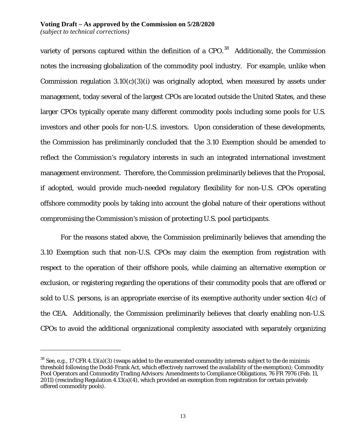variety of persons captured within the definition of a CPO.<sup>38</sup> Additionally, the Commission notes the increasing globalization of the commodity pool industry. For example, unlike when Commission regulation  $3.10(c)(3)(i)$  was originally adopted, when measured by assets under management, today several of the largest CPOs are located outside the United States, and these larger CPOs typically operate many different commodity pools including some pools for U.S. investors and other pools for non-U.S. investors. Upon consideration of these developments, the Commission has preliminarily concluded that the 3.10 Exemption should be amended to reflect the Commission's regulatory interests in such an integrated international investment management environment. Therefore, the Commission preliminarily believes that the Proposal, if adopted, would provide much-needed regulatory flexibility for non-U.S. CPOs operating offshore commodity pools by taking into account the global nature of their operations without compromising the Commission's mission of protecting U.S. pool participants.

For the reasons stated above, the Commission preliminarily believes that amending the 3.10 Exemption such that non-U.S. CPOs may claim the exemption from registration with respect to the operation of their offshore pools, while claiming an alternative exemption or exclusion, or registering regarding the operations of their commodity pools that are offered or sold to U.S. persons, is an appropriate exercise of its exemptive authority under section 4(c) of the CEA. Additionally, the Commission preliminarily believes that clearly enabling non-U.S. CPOs to avoid the additional organizational complexity associated with separately organizing

<span id="page-12-0"></span><sup>38</sup> *See*, *e.g.*, 17 CFR 4.13(a)(3) (swaps added to the enumerated commodity interests subject to the de minimis threshold following the Dodd-Frank Act, which effectively narrowed the availability of the exemption); Commodity Pool Operators and Commodity Trading Advisors: Amendments to Compliance Obligations, 76 FR 7976 (Feb. 11, 2011) (rescinding Regulation 4.13(a)(4), which provided an exemption from registration for certain privately offered commodity pools).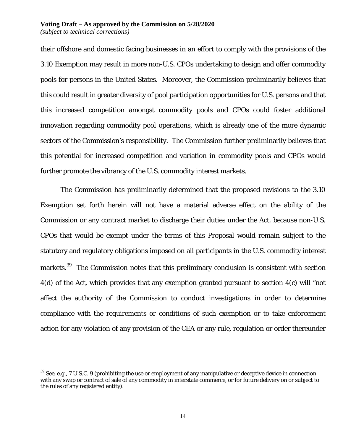their offshore and domestic facing businesses in an effort to comply with the provisions of the 3.10 Exemption may result in more non-U.S. CPOs undertaking to design and offer commodity pools for persons in the United States. Moreover, the Commission preliminarily believes that this could result in greater diversity of pool participation opportunities for U.S. persons and that this increased competition amongst commodity pools and CPOs could foster additional innovation regarding commodity pool operations, which is already one of the more dynamic sectors of the Commission's responsibility. The Commission further preliminarily believes that this potential for increased competition and variation in commodity pools and CPOs would further promote the vibrancy of the U.S. commodity interest markets.

The Commission has preliminarily determined that the proposed revisions to the 3.10 Exemption set forth herein will not have a material adverse effect on the ability of the Commission or any contract market to discharge their duties under the Act, because non-U.S. CPOs that would be exempt under the terms of this Proposal would remain subject to the statutory and regulatory obligations imposed on all participants in the U.S. commodity interest markets.<sup>39</sup> The Commission notes that this preliminary conclusion is consistent with section 4(d) of the Act, which provides that any exemption granted pursuant to section 4(c) will "not affect the authority of the Commission to conduct investigations in order to determine compliance with the requirements or conditions of such exemption or to take enforcement action for any violation of any provision of the CEA or any rule, regulation or order thereunder

<span id="page-13-0"></span><sup>39</sup> *See*, *e.g.*, 7 U.S.C. 9 (prohibiting the use or employment of any manipulative or deceptive device in connection with any swap or contract of sale of any commodity in interstate commerce, or for future delivery on or subject to the rules of any registered entity).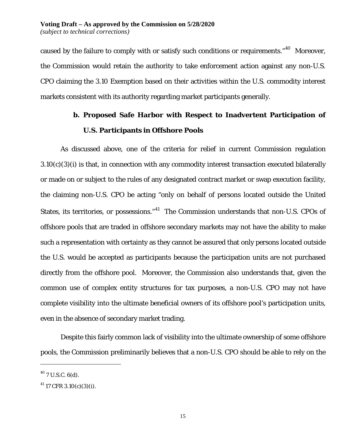caused by the failure to comply with or satisfy such conditions or requirements." $^{40}$  Moreover, the Commission would retain the authority to take enforcement action against any non-U.S. CPO claiming the 3.10 Exemption based on their activities within the U.S. commodity interest markets consistent with its authority regarding market participants generally.

# **b. Proposed Safe Harbor with Respect to Inadvertent Participation of U.S. Participants in Offshore Pools**

As discussed above, one of the criteria for relief in current Commission regulation  $3.10(c)(3)(i)$  is that, in connection with any commodity interest transaction executed bilaterally or made on or subject to the rules of any designated contract market or swap execution facility, the claiming non-U.S. CPO be acting "only on behalf of persons located outside the United States, its territories, or possessions."<sup>41</sup> The Commission understands that non-U.S. CPOs of offshore pools that are traded in offshore secondary markets may not have the ability to make such a representation with certainty as they cannot be assured that only persons located outside the U.S. would be accepted as participants because the participation units are not purchased directly from the offshore pool. Moreover, the Commission also understands that, given the common use of complex entity structures for tax purposes, a non-U.S. CPO may not have complete visibility into the ultimate beneficial owners of its offshore pool's participation units, even in the absence of secondary market trading.

Despite this fairly common lack of visibility into the ultimate ownership of some offshore pools, the Commission preliminarily believes that a non-U.S. CPO should be able to rely on the

<span id="page-14-0"></span> $^{40}$  7 U.S.C. 6(d).

<span id="page-14-1"></span> $41$  17 CFR 3.10(c)(3)(i).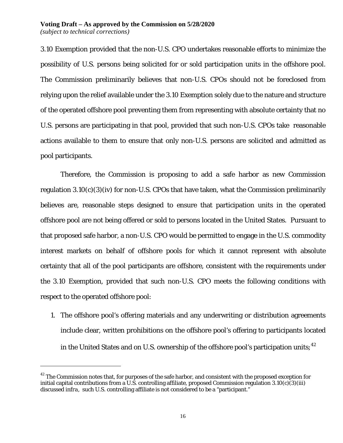3.10 Exemption provided that the non-U.S. CPO undertakes reasonable efforts to minimize the possibility of U.S. persons being solicited for or sold participation units in the offshore pool. The Commission preliminarily believes that non-U.S. CPOs should not be foreclosed from relying upon the relief available under the 3.10 Exemption solely due to the nature and structure of the operated offshore pool preventing them from representing with absolute certainty that no U.S. persons are participating in that pool, provided that such non-U.S. CPOs take reasonable actions available to them to ensure that only non-U.S. persons are solicited and admitted as pool participants.

Therefore, the Commission is proposing to add a safe harbor as new Commission regulation  $3.10(c)(3)(iv)$  for non-U.S. CPOs that have taken, what the Commission preliminarily believes are, reasonable steps designed to ensure that participation units in the operated offshore pool are not being offered or sold to persons located in the United States. Pursuant to that proposed safe harbor, a non-U.S. CPO would be permitted to engage in the U.S. commodity interest markets on behalf of offshore pools for which it cannot represent with absolute certainty that all of the pool participants are offshore, consistent with the requirements under the 3.10 Exemption, provided that such non-U.S. CPO meets the following conditions with respect to the operated offshore pool:

1. The offshore pool's offering materials and any underwriting or distribution agreements include clear, written prohibitions on the offshore pool's offering to participants located in the United States and on U.S. ownership of the offshore pool's participation units;  $^{42}$  $^{42}$  $^{42}$ 

<span id="page-15-0"></span><sup>&</sup>lt;sup>42</sup> The Commission notes that, for purposes of the safe harbor, and consistent with the proposed exception for initial capital contributions from a U.S. controlling affiliate, proposed Commission regulation  $3.10(c)(3)(iii)$ discussed *infra*, such U.S. controlling affiliate is not considered to be a "participant."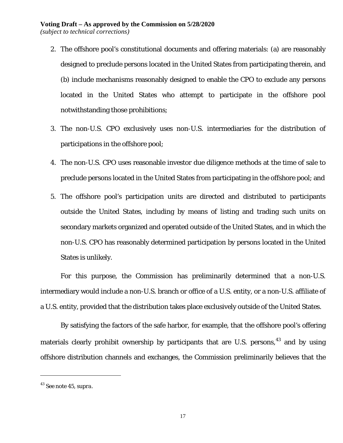- 2. The offshore pool's constitutional documents and offering materials: (a) are reasonably designed to preclude persons located in the United States from participating therein, and (b) include mechanisms reasonably designed to enable the CPO to exclude any persons located in the United States who attempt to participate in the offshore pool notwithstanding those prohibitions;
- 3. The non-U.S. CPO exclusively uses non-U.S. intermediaries for the distribution of participations in the offshore pool;
- 4. The non-U.S. CPO uses reasonable investor due diligence methods at the time of sale to preclude persons located in the United States from participating in the offshore pool; and
- 5. The offshore pool's participation units are directed and distributed to participants outside the United States, including by means of listing and trading such units on secondary markets organized and operated outside of the United States, and in which the non-U.S. CPO has reasonably determined participation by persons located in the United States is unlikely.

For this purpose, the Commission has preliminarily determined that a non-U.S. intermediary would include a non-U.S. branch or office of a U.S. entity, or a non-U.S. affiliate of a U.S. entity, provided that the distribution takes place exclusively outside of the United States.

By satisfying the factors of the safe harbor, for example, that the offshore pool's offering materials clearly prohibit ownership by participants that are U.S. persons,<sup>[43](#page-16-0)</sup> and by using offshore distribution channels and exchanges, the Commission preliminarily believes that the

<span id="page-16-0"></span><sup>43</sup> *See* note 45, *supra*.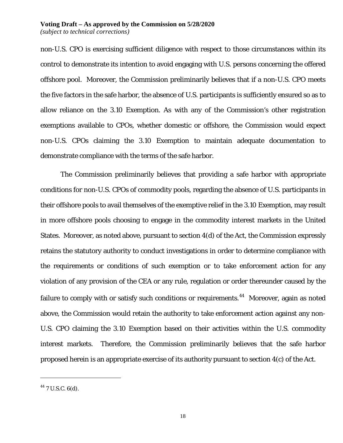non-U.S. CPO is exercising sufficient diligence with respect to those circumstances within its control to demonstrate its intention to avoid engaging with U.S. persons concerning the offered offshore pool. Moreover, the Commission preliminarily believes that if a non-U.S. CPO meets the five factors in the safe harbor, the absence of U.S. participants is sufficiently ensured so as to allow reliance on the 3.10 Exemption. As with any of the Commission's other registration exemptions available to CPOs, whether domestic or offshore, the Commission would expect non-U.S. CPOs claiming the 3.10 Exemption to maintain adequate documentation to demonstrate compliance with the terms of the safe harbor.

The Commission preliminarily believes that providing a safe harbor with appropriate conditions for non-U.S. CPOs of commodity pools, regarding the absence of U.S. participants in their offshore pools to avail themselves of the exemptive relief in the 3.10 Exemption, may result in more offshore pools choosing to engage in the commodity interest markets in the United States. Moreover, as noted above, pursuant to section 4(d) of the Act, the Commission expressly retains the statutory authority to conduct investigations in order to determine compliance with the requirements or conditions of such exemption or to take enforcement action for any violation of any provision of the CEA or any rule, regulation or order thereunder caused by the failure to comply with or satisfy such conditions or requirements.<sup>[44](#page-17-0)</sup> Moreover, again as noted above, the Commission would retain the authority to take enforcement action against any non-U.S. CPO claiming the 3.10 Exemption based on their activities within the U.S. commodity interest markets. Therefore, the Commission preliminarily believes that the safe harbor proposed herein is an appropriate exercise of its authority pursuant to section 4(c) of the Act.

<span id="page-17-0"></span> $44$  7 U.S.C. 6(d).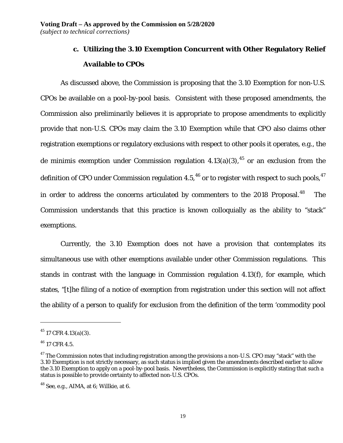# **c. Utilizing the 3.10 Exemption Concurrent with Other Regulatory Relief Available to CPOs**

As discussed above, the Commission is proposing that the 3.10 Exemption for non-U.S. CPOs be available on a pool-by-pool basis. Consistent with these proposed amendments, the Commission also preliminarily believes it is appropriate to propose amendments to explicitly provide that non-U.S. CPOs may claim the 3.10 Exemption while that CPO also claims other registration exemptions or regulatory exclusions with respect to other pools it operates, *e.g.*, the de minimis exemption under Commission regulation 4.13(a)(3),<sup>[45](#page-18-0)</sup> or an exclusion from the definition of CPO under Commission regulation 4.5,<sup>[46](#page-18-1)</sup> or to register with respect to such pools,  $47$ in order to address the concerns articulated by commenters to the  $2018$  Proposal.<sup>[48](#page-18-3)</sup> The Commission understands that this practice is known colloquially as the ability to "stack" exemptions.

Currently, the 3.10 Exemption does not have a provision that contemplates its simultaneous use with other exemptions available under other Commission regulations. This stands in contrast with the language in Commission regulation 4.13(f), for example, which states, "[t]he filing of a notice of exemption from registration under this section will not affect the ability of a person to qualify for exclusion from the definition of the term 'commodity pool

<span id="page-18-0"></span> $45$  17 CFR 4.13(a)(3).

<span id="page-18-1"></span> $46$  17 CFR 4.5.

<span id="page-18-2"></span> $47$  The Commission notes that including registration among the provisions a non-U.S. CPO may "stack" with the 3.10 Exemption is not strictly necessary, as such status is implied given the amendments described earlier to allow the 3.10 Exemption to apply on a pool-by-pool basis. Nevertheless, the Commission is explicitly stating that such a status is possible to provide certainty to affected non-U.S. CPOs.

<span id="page-18-3"></span><sup>48</sup> *See*, *e.g.*, AIMA, at 6; Willkie, at 6.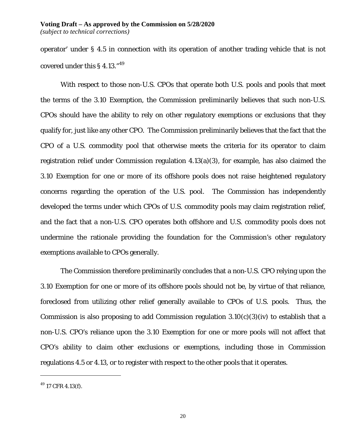operator' under § 4.5 in connection with its operation of another trading vehicle that is not covered under this § 4.13."[49](#page-19-0) 

With respect to those non-U.S. CPOs that operate both U.S. pools and pools that meet the terms of the 3.10 Exemption, the Commission preliminarily believes that such non-U.S. CPOs should have the ability to rely on other regulatory exemptions or exclusions that they qualify for, just like any other CPO. The Commission preliminarily believes that the fact that the CPO of a U.S. commodity pool that otherwise meets the criteria for its operator to claim registration relief under Commission regulation 4.13(a)(3), for example, has also claimed the 3.10 Exemption for one or more of its offshore pools does not raise heightened regulatory concerns regarding the operation of the U.S. pool. The Commission has independently developed the terms under which CPOs of U.S. commodity pools may claim registration relief, and the fact that a non-U.S. CPO operates both offshore and U.S. commodity pools does not undermine the rationale providing the foundation for the Commission's other regulatory exemptions available to CPOs generally.

The Commission therefore preliminarily concludes that a non-U.S. CPO relying upon the 3.10 Exemption for one or more of its offshore pools should not be, by virtue of that reliance, foreclosed from utilizing other relief generally available to CPOs of U.S. pools. Thus, the Commission is also proposing to add Commission regulation  $3.10(c)(3)(iv)$  to establish that a non-U.S. CPO's reliance upon the 3.10 Exemption for one or more pools will not affect that CPO's ability to claim other exclusions or exemptions, including those in Commission regulations 4.5 or 4.13, or to register with respect to the other pools that it operates.

<span id="page-19-0"></span> $49$  17 CFR 4.13(f).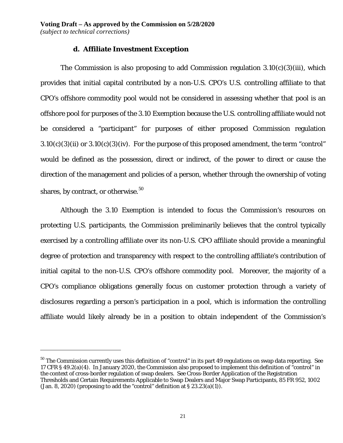### **d. Affiliate Investment Exception**

The Commission is also proposing to add Commission regulation  $3.10(c)(3)(iii)$ , which provides that initial capital contributed by a non-U.S. CPO's U.S. controlling affiliate to that CPO's offshore commodity pool would not be considered in assessing whether that pool is an offshore pool for purposes of the 3.10 Exemption because the U.S. controlling affiliate would not be considered a "participant" for purposes of either proposed Commission regulation  $3.10(c)(3)(ii)$  or  $3.10(c)(3)(iv)$ . For the purpose of this proposed amendment, the term "control" would be defined as the possession, direct or indirect, of the power to direct or cause the direction of the management and policies of a person, whether through the ownership of voting shares, by contract, or otherwise. $50$ 

Although the 3.10 Exemption is intended to focus the Commission's resources on protecting U.S. participants, the Commission preliminarily believes that the control typically exercised by a controlling affiliate over its non-U.S. CPO affiliate should provide a meaningful degree of protection and transparency with respect to the controlling affiliate's contribution of initial capital to the non-U.S. CPO's offshore commodity pool. Moreover, the majority of a CPO's compliance obligations generally focus on customer protection through a variety of disclosures regarding a person's participation in a pool, which is information the controlling affiliate would likely already be in a position to obtain independent of the Commission's

<span id="page-20-0"></span><sup>50</sup> The Commission currently uses this definition of "control" in its part 49 regulations on swap data reporting. *See* 17 CFR § 49.2(a)(4). In January 2020, the Commission also proposed to implement this definition of "control" in the context of cross-border regulation of swap dealers. *See* Cross-Border Application of the Registration Thresholds and Certain Requirements Applicable to Swap Dealers and Major Swap Participants, 85 FR 952, 1002 (Jan. 8, 2020) (proposing to add the "control" definition at  $\S 23.23(a)(1)$ ).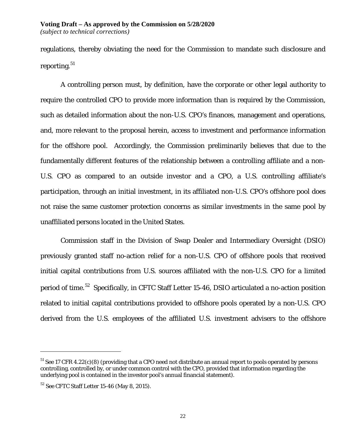regulations, thereby obviating the need for the Commission to mandate such disclosure and reporting.  $^{\rm 51}$  $^{\rm 51}$  $^{\rm 51}$ 

A controlling person must, by definition, have the corporate or other legal authority to require the controlled CPO to provide more information than is required by the Commission, such as detailed information about the non-U.S. CPO's finances, management and operations, and, more relevant to the proposal herein, access to investment and performance information for the offshore pool. Accordingly, the Commission preliminarily believes that due to the fundamentally different features of the relationship between a controlling affiliate and a non-U.S. CPO as compared to an outside investor and a CPO, a U.S. controlling affiliate's participation, through an initial investment, in its affiliated non-U.S. CPO's offshore pool does not raise the same customer protection concerns as similar investments in the same pool by unaffiliated persons located in the United States.

Commission staff in the Division of Swap Dealer and Intermediary Oversight (DSIO) previously granted staff no-action relief for a non-U.S. CPO of offshore pools that received initial capital contributions from U.S. sources affiliated with the non-U.S. CPO for a limited period of time.<sup>[52](#page-21-1)</sup> Specifically, in CFTC Staff Letter 15-46, DSIO articulated a no-action position related to initial capital contributions provided to offshore pools operated by a non-U.S. CPO derived from the U.S. employees of the affiliated U.S. investment advisers to the offshore

<span id="page-21-0"></span><sup>&</sup>lt;sup>51</sup> *See* 17 CFR 4.22(c)(8) (providing that a CPO need not distribute an annual report to pools operated by persons controlling, controlled by, or under common control with the CPO, provided that information regarding the underlying pool is contained in the investor pool's annual financial statement).

<span id="page-21-1"></span><sup>52</sup> *See* CFTC Staff Letter 15-46 (May 8, 2015).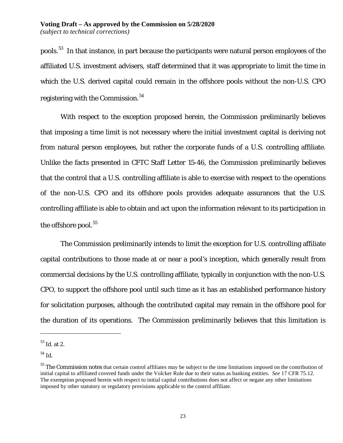pools.[53](#page-22-0) In that instance, in part because the participants were natural person employees of the affiliated U.S. investment advisers, staff determined that it was appropriate to limit the time in which the U.S. derived capital could remain in the offshore pools without the non-U.S. CPO registering with the Commission.<sup>54</sup>

With respect to the exception proposed herein, the Commission preliminarily believes that imposing a time limit is not necessary where the initial investment capital is deriving not from natural person employees, but rather the corporate funds of a U.S. controlling affiliate. Unlike the facts presented in CFTC Staff Letter 15-46, the Commission preliminarily believes that the control that a U.S. controlling affiliate is able to exercise with respect to the operations of the non-U.S. CPO and its offshore pools provides adequate assurances that the U.S. controlling affiliate is able to obtain and act upon the information relevant to its participation in the offshore pool. $55$ 

The Commission preliminarily intends to limit the exception for U.S. controlling affiliate capital contributions to those made at or near a pool's inception, which generally result from commercial decisions by the U.S. controlling affiliate, typically in conjunction with the non-U.S. CPO, to support the offshore pool until such time as it has an established performance history for solicitation purposes, although the contributed capital may remain in the offshore pool for the duration of its operations. The Commission preliminarily believes that this limitation is

<span id="page-22-0"></span><sup>53</sup> *Id*. at 2.

<span id="page-22-1"></span><sup>54</sup> *Id.*

<span id="page-22-2"></span><sup>&</sup>lt;sup>55</sup> The Commission notes that certain control affiliates may be subject to the time limitations imposed on the contribution of initial capital to affiliated covered funds under the Volcker Rule due to their status as banking entities. *See* 17 CFR 75.12. The exemption proposed herein with respect to initial capital contributions does not affect or negate any other limitations imposed by other statutory or regulatory provisions applicable to the control affiliate.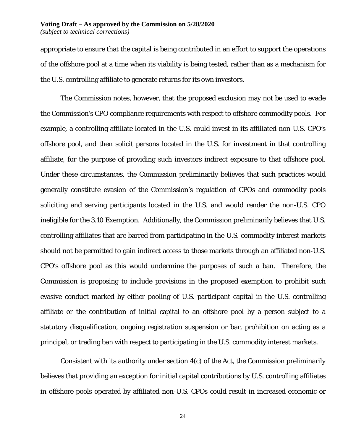#### **Voting Draft – As approved by the Commission on 5/28/2020** *(subject to technical corrections)*

appropriate to ensure that the capital is being contributed in an effort to support the operations of the offshore pool at a time when its viability is being tested, rather than as a mechanism for the U.S. controlling affiliate to generate returns for its own investors.

The Commission notes, however, that the proposed exclusion may not be used to evade the Commission's CPO compliance requirements with respect to offshore commodity pools. For example, a controlling affiliate located in the U.S. could invest in its affiliated non-U.S. CPO's offshore pool, and then solicit persons located in the U.S. for investment in that controlling affiliate, for the purpose of providing such investors indirect exposure to that offshore pool. Under these circumstances, the Commission preliminarily believes that such practices would generally constitute evasion of the Commission's regulation of CPOs and commodity pools soliciting and serving participants located in the U.S. and would render the non-U.S. CPO ineligible for the 3.10 Exemption. Additionally, the Commission preliminarily believes that U.S. controlling affiliates that are barred from participating in the U.S. commodity interest markets should not be permitted to gain indirect access to those markets through an affiliated non-U.S. CPO's offshore pool as this would undermine the purposes of such a ban. Therefore, the Commission is proposing to include provisions in the proposed exemption to prohibit such evasive conduct marked by either pooling of U.S. participant capital in the U.S. controlling affiliate or the contribution of initial capital to an offshore pool by a person subject to a statutory disqualification, ongoing registration suspension or bar, prohibition on acting as a principal, or trading ban with respect to participating in the U.S. commodity interest markets.

Consistent with its authority under section 4(c) of the Act, the Commission preliminarily believes that providing an exception for initial capital contributions by U.S. controlling affiliates in offshore pools operated by affiliated non-U.S. CPOs could result in increased economic or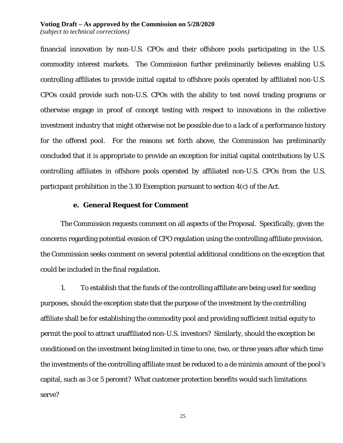#### **Voting Draft – As approved by the Commission on 5/28/2020**

*(subject to technical corrections)*

financial innovation by non-U.S. CPOs and their offshore pools participating in the U.S. commodity interest markets. The Commission further preliminarily believes enabling U.S. controlling affiliates to provide initial capital to offshore pools operated by affiliated non-U.S. CPOs could provide such non-U.S. CPOs with the ability to test novel trading programs or otherwise engage in proof of concept testing with respect to innovations in the collective investment industry that might otherwise not be possible due to a lack of a performance history for the offered pool. For the reasons set forth above, the Commission has preliminarily concluded that it is appropriate to provide an exception for initial capital contributions by U.S. controlling affiliates in offshore pools operated by affiliated non-U.S. CPOs from the U.S. participant prohibition in the 3.10 Exemption pursuant to section 4(c) of the Act.

#### **e. General Request for Comment**

The Commission requests comment on all aspects of the Proposal. Specifically, given the concerns regarding potential evasion of CPO regulation using the controlling affiliate provision, the Commission seeks comment on several potential additional conditions on the exception that could be included in the final regulation.

1. To establish that the funds of the controlling affiliate are being used for seeding purposes, should the exception state that the purpose of the investment by the controlling affiliate shall be for establishing the commodity pool and providing sufficient initial equity to permit the pool to attract unaffiliated non-U.S. investors? Similarly, should the exception be conditioned on the investment being limited in time to one, two, or three years after which time the investments of the controlling affiliate must be reduced to a de minimis amount of the pool's capital, such as 3 or 5 percent? What customer protection benefits would such limitations serve?

25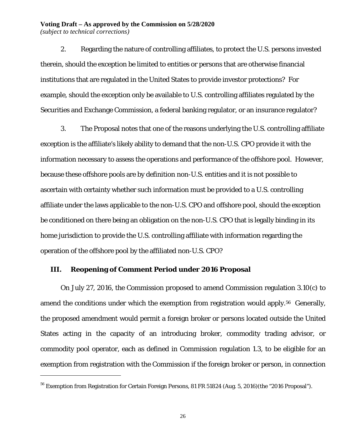2. Regarding the nature of controlling affiliates, to protect the U.S. persons invested therein, should the exception be limited to entities or persons that are otherwise financial institutions that are regulated in the United States to provide investor protections? For example, should the exception only be available to U.S. controlling affiliates regulated by the Securities and Exchange Commission, a federal banking regulator, or an insurance regulator?

3. The Proposal notes that one of the reasons underlying the U.S. controlling affiliate exception is the affiliate's likely ability to demand that the non-U.S. CPO provide it with the information necessary to assess the operations and performance of the offshore pool. However, because these offshore pools are by definition non-U.S. entities and it is not possible to ascertain with certainty whether such information must be provided to a U.S. controlling affiliate under the laws applicable to the non-U.S. CPO and offshore pool, should the exception be conditioned on there being an obligation on the non-U.S. CPO that is legally binding in its home jurisdiction to provide the U.S. controlling affiliate with information regarding the operation of the offshore pool by the affiliated non-U.S. CPO?

### **III. Reopening of Comment Period under 2016 Proposal**

 $\overline{a}$ 

On July 27, 2016, the Commission proposed to amend Commission regulation 3.10(c) to amend the conditions under which the exemption from registration would apply.<sup>56</sup> Generally, the proposed amendment would permit a foreign broker or persons located outside the United States acting in the capacity of an introducing broker, commodity trading advisor, or commodity pool operator, each as defined in Commission regulation 1.3, to be eligible for an exemption from registration with the Commission if the foreign broker or person, in connection

<span id="page-25-0"></span><sup>56</sup> Exemption from Registration for Certain Foreign Persons, 81 FR 51824 (Aug. 5, 2016)(the "2016 Proposal").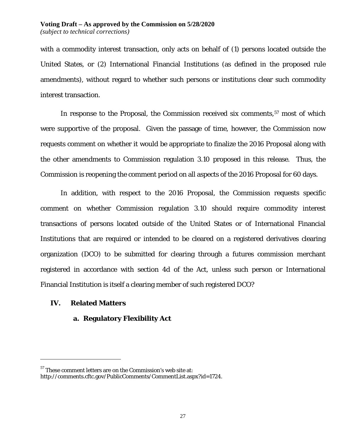with a commodity interest transaction, only acts on behalf of (1) persons located outside the United States, or (2) International Financial Institutions (as defined in the proposed rule amendments), without regard to whether such persons or institutions clear such commodity interest transaction.

In response to the Proposal, the Commission received six comments,<sup>[57](#page-26-0)</sup> most of which were supportive of the proposal. Given the passage of time, however, the Commission now requests comment on whether it would be appropriate to finalize the 2016 Proposal along with the other amendments to Commission regulation 3.10 proposed in this release. Thus, the Commission is reopening the comment period on all aspects of the 2016 Proposal for 60 days.

In addition, with respect to the 2016 Proposal, the Commission requests specific comment on whether Commission regulation 3.10 should require commodity interest transactions of persons located outside of the United States or of International Financial Institutions that are required or intended to be cleared on a registered derivatives clearing organization (DCO) to be submitted for clearing through a futures commission merchant registered in accordance with section 4d of the Act, unless such person or International Financial Institution is itself a clearing member of such registered DCO?

# **IV. Related Matters**

 $\overline{a}$ 

# **a. Regulatory Flexibility Act**

<span id="page-26-0"></span> $57$  These comment letters are on the Commission's web site at:

http://comments.cftc.gov/PublicComments/CommentList.aspx?id=1724.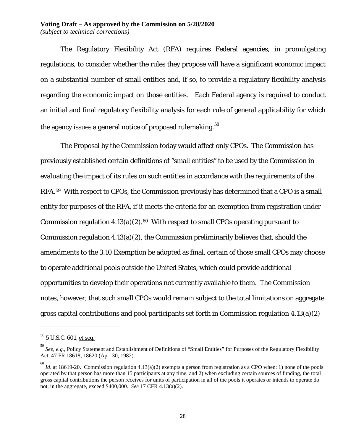# **Voting Draft – As approved by the Commission on 5/28/2020**

*(subject to technical corrections)*

The Regulatory Flexibility Act (RFA) requires Federal agencies, in promulgating regulations, to consider whether the rules they propose will have a significant economic impact on a substantial number of small entities and, if so, to provide a regulatory flexibility analysis regarding the economic impact on those entities. Each Federal agency is required to conduct an initial and final regulatory flexibility analysis for each rule of general applicability for which the agency issues a general notice of proposed rulemaking.<sup>[58](#page-27-0)</sup>

The Proposal by the Commission today would affect only CPOs. The Commission has previously established certain definitions of "small entities" to be used by the Commission in evaluating the impact of its rules on such entities in accordance with the requirements of the RFA.[59](#page-27-1) With respect to CPOs, the Commission previously has determined that a CPO is a small entity for purposes of the RFA, if it meets the criteria for an exemption from registration under Commission regulation  $4.13(a)(2).<sup>60</sup>$  $4.13(a)(2).<sup>60</sup>$  $4.13(a)(2).<sup>60</sup>$  With respect to small CPOs operating pursuant to Commission regulation 4.13(a)(2), the Commission preliminarily believes that, should the amendments to the 3.10 Exemption be adopted as final, certain of those small CPOs may choose to operate additional pools outside the United States, which could provide additional opportunities to develop their operations not currently available to them. The Commission notes, however, that such small CPOs would remain subject to the total limitations on aggregate gross capital contributions and pool participants set forth in Commission regulation 4.13(a)(2)

<span id="page-27-0"></span><sup>&</sup>lt;sup>58</sup> 5 U.S.C. 601, et seq.

<span id="page-27-1"></span><sup>59</sup> *See*, *e.g.*, Policy Statement and Establishment of Definitions of "Small Entities" for Purposes of the Regulatory Flexibility Act, 47 FR 18618, 18620 (Apr. 30, 1982).

<span id="page-27-2"></span><sup>&</sup>lt;sup>60</sup> *Id*. at 18619-20. Commission regulation 4.13(a)(2) exempts a person from registration as a CPO when: 1) none of the pools operated by that person has more than 15 participants at any time, and 2) when excluding certain sources of funding, the total gross capital contributions the person receives for units of participation in all of the pools it operates or intends to operate do not, in the aggregate, exceed \$400,000. *See* 17 CFR 4.13(a)(2).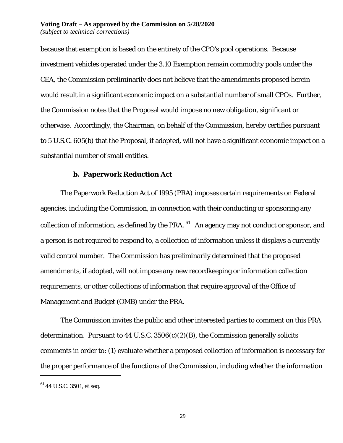because that exemption is based on the entirety of the CPO's pool operations. Because investment vehicles operated under the 3.10 Exemption remain commodity pools under the CEA, the Commission preliminarily does not believe that the amendments proposed herein would result in a significant economic impact on a substantial number of small CPOs. Further, the Commission notes that the Proposal would impose no new obligation, significant or otherwise. Accordingly, the Chairman, on behalf of the Commission, hereby certifies pursuant to 5 U.S.C. 605(b) that the Proposal, if adopted, will not have a significant economic impact on a substantial number of small entities.

## **b. Paperwork Reduction Act**

The Paperwork Reduction Act of 1995 (PRA) imposes certain requirements on Federal agencies, including the Commission, in connection with their conducting or sponsoring any collection of information, as defined by the PRA.  $61$  An agency may not conduct or sponsor, and a person is not required to respond to, a collection of information unless it displays a currently valid control number. The Commission has preliminarily determined that the proposed amendments, if adopted, will not impose any new recordkeeping or information collection requirements, or other collections of information that require approval of the Office of Management and Budget (OMB) under the PRA.

The Commission invites the public and other interested parties to comment on this PRA determination. Pursuant to 44 U.S.C.  $3506(c)(2)(B)$ , the Commission generally solicits comments in order to: (1) evaluate whether a proposed collection of information is necessary for the proper performance of the functions of the Commission, including whether the information

<span id="page-28-0"></span> $61$  44 U.S.C. 3501, et seq.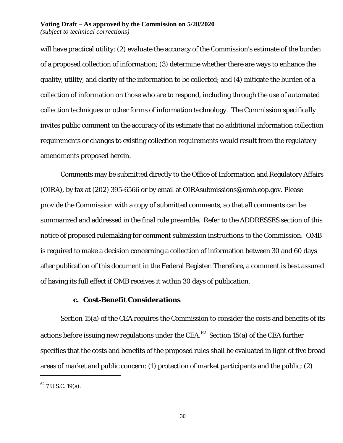will have practical utility; (2) evaluate the accuracy of the Commission's estimate of the burden of a proposed collection of information; (3) determine whether there are ways to enhance the quality, utility, and clarity of the information to be collected; and (4) mitigate the burden of a collection of information on those who are to respond, including through the use of automated collection techniques or other forms of information technology. The Commission specifically invites public comment on the accuracy of its estimate that no additional information collection requirements or changes to existing collection requirements would result from the regulatory amendments proposed herein.

Comments may be submitted directly to the Office of Information and Regulatory Affairs (OIRA), by fax at (202) 395-6566 or by email at OIRAsubmissions@omb.eop.gov*.* Please provide the Commission with a copy of submitted comments, so that all comments can be summarized and addressed in the final rule preamble. Refer to the ADDRESSES section of this notice of proposed rulemaking for comment submission instructions to the Commission. OMB is required to make a decision concerning a collection of information between 30 and 60 days after publication of this document in the Federal Register. Therefore, a comment is best assured of having its full effect if OMB receives it within 30 days of publication.

# **c. Cost-Benefit Considerations**

Section 15(a) of the CEA requires the Commission to consider the costs and benefits of its actions before issuing new regulations under the CEA.<sup>62</sup> Section 15(a) of the CEA further specifies that the costs and benefits of the proposed rules shall be evaluated in light of five broad areas of market and public concern: (1) protection of market participants and the public; (2)

<span id="page-29-0"></span> $62$  7 U.S.C. 19(a).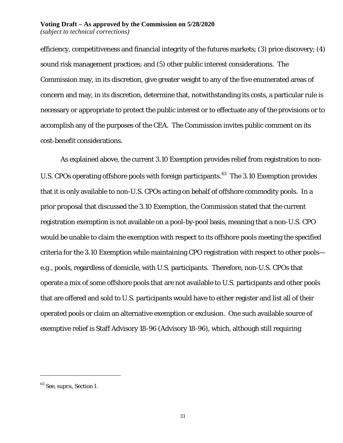efficiency, competitiveness and financial integrity of the futures markets; (3) price discovery; (4) sound risk management practices; and (5) other public interest considerations. The Commission may, in its discretion, give greater weight to any of the five enumerated areas of concern and may, in its discretion, determine that, notwithstanding its costs, a particular rule is necessary or appropriate to protect the public interest or to effectuate any of the provisions or to accomplish any of the purposes of the CEA. The Commission invites public comment on its cost-benefit considerations.

As explained above, the current 3.10 Exemption provides relief from registration to non-U.S. CPOs operating offshore pools with foreign participants.<sup>63</sup> The 3.10 Exemption provides that it is only available to non-U.S. CPOs acting on behalf of offshore commodity pools. In a prior proposal that discussed the 3.10 Exemption, the Commission stated that the current registration exemption is not available on a pool-by-pool basis, meaning that a non-U.S. CPO would be unable to claim the exemption with respect to its offshore pools meeting the specified criteria for the 3.10 Exemption while maintaining CPO registration with respect to other pools *e.g.*, pools, regardless of domicile, with U.S. participants. Therefore, non-U.S. CPOs that operate a mix of some offshore pools that are not available to U.S. participants and other pools that are offered and sold to U.S. participants would have to either register and list all of their operated pools or claim an alternative exemption or exclusion. One such available source of exemptive relief is Staff Advisory 18-96 (Advisory 18-96), which, although still requiring

<span id="page-30-0"></span><sup>63</sup> *See*, *supra*, Section I.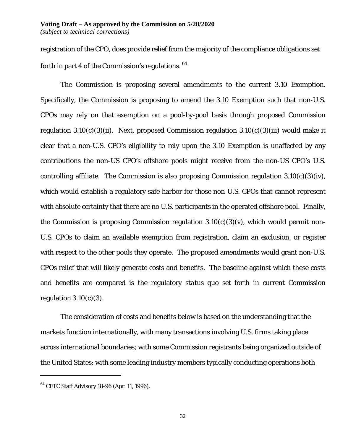registration of the CPO, does provide relief from the majority of the compliance obligations set forth in part 4 of the Commission's regulations. [64](#page-31-0)

The Commission is proposing several amendments to the current 3.10 Exemption. Specifically, the Commission is proposing to amend the 3.10 Exemption such that non-U.S. CPOs may rely on that exemption on a pool-by-pool basis through proposed Commission regulation  $3.10(c)(3)(ii)$ . Next, proposed Commission regulation  $3.10(c)(3)(iii)$  would make it clear that a non-U.S. CPO's eligibility to rely upon the 3.10 Exemption is unaffected by any contributions the non-US CPO's offshore pools might receive from the non-US CPO's U.S. controlling affiliate. The Commission is also proposing Commission regulation  $3.10(c)(3)(iv)$ , which would establish a regulatory safe harbor for those non-U.S. CPOs that cannot represent with absolute certainty that there are no U.S. participants in the operated offshore pool. Finally, the Commission is proposing Commission regulation  $3.10(c)(3)(v)$ , which would permit non-U.S. CPOs to claim an available exemption from registration, claim an exclusion, or register with respect to the other pools they operate. The proposed amendments would grant non-U.S. CPOs relief that will likely generate costs and benefits. The baseline against which these costs and benefits are compared is the regulatory *status quo* set forth in current Commission regulation  $3.10(c)(3)$ .

The consideration of costs and benefits below is based on the understanding that the markets function internationally, with many transactions involving U.S. firms taking place across international boundaries; with some Commission registrants being organized outside of the United States; with some leading industry members typically conducting operations both

<span id="page-31-0"></span><sup>64</sup> CFTC Staff Advisory 18-96 (Apr. 11, 1996).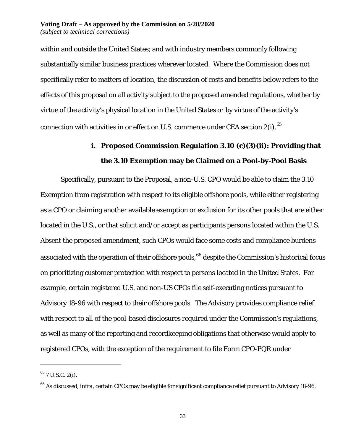within and outside the United States; and with industry members commonly following substantially similar business practices wherever located. Where the Commission does not specifically refer to matters of location, the discussion of costs and benefits below refers to the effects of this proposal on all activity subject to the proposed amended regulations, whether by virtue of the activity's physical location in the United States or by virtue of the activity's connection with activities in or effect on U.S. commerce under CEA section 2(i).<sup>[65](#page-32-0)</sup>

# **i. Proposed Commission Regulation 3.10 (c)(3)(ii): Providing that the 3.10 Exemption may be Claimed on a Pool-by-Pool Basis**

Specifically, pursuant to the Proposal, a non-U.S. CPO would be able to claim the 3.10 Exemption from registration with respect to its eligible offshore pools, while either registering as a CPO or claiming another available exemption or exclusion for its other pools that are either located in the U.S., or that solicit and/or accept as participants persons located within the U.S. Absent the proposed amendment, such CPOs would face some costs and compliance burdens associated with the operation of their offshore pools, <sup>[66](#page-32-1)</sup> despite the Commission's historical focus on prioritizing customer protection with respect to persons located in the United States. For example, certain registered U.S. and non-US CPOs file self-executing notices pursuant to Advisory 18-96 with respect to their offshore pools. The Advisory provides compliance relief with respect to all of the pool-based disclosures required under the Commission's regulations, as well as many of the reporting and recordkeeping obligations that otherwise would apply to registered CPOs, with the exception of the requirement to file Form CPO-PQR under

<span id="page-32-0"></span> $^{65}$  7 U.S.C. 2(i).

<span id="page-32-1"></span><sup>66</sup> As discussed, *infra*, certain CPOs may be eligible for significant compliance relief pursuant to Advisory 18-96.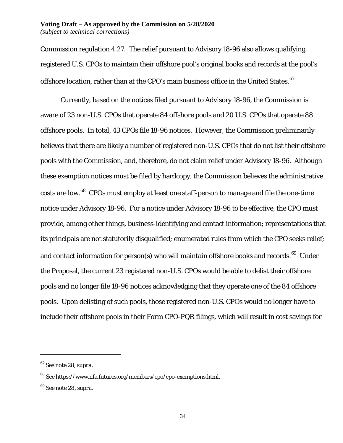#### **Voting Draft – As approved by the Commission on 5/28/2020** *(subject to technical corrections)*

Commission regulation 4.27. The relief pursuant to Advisory 18-96 also allows qualifying, registered U.S. CPOs to maintain their offshore pool's original books and records at the pool's offshore location, rather than at the CPO's main business office in the United States.  $^{67}$  $^{67}$  $^{67}$ 

Currently, based on the notices filed pursuant to Advisory 18-96, the Commission is aware of 23 non-U.S. CPOs that operate 84 offshore pools and 20 U.S. CPOs that operate 88 offshore pools. In total, 43 CPOs file 18-96 notices. However, the Commission preliminarily believes that there are likely a number of registered non-U.S. CPOs that do not list their offshore pools with the Commission, and, therefore, do not claim relief under Advisory 18-96. Although these exemption notices must be filed by hardcopy, the Commission believes the administrative costs are low.[68](#page-33-1) CPOs must employ at least one staff-person to manage and file the one-time notice under Advisory 18-96. For a notice under Advisory 18-96 to be effective, the CPO must provide, among other things, business-identifying and contact information; representations that its principals are not statutorily disqualified; enumerated rules from which the CPO seeks relief; and contact information for person(s) who will maintain offshore books and records.<sup>[69](#page-33-2)</sup> Under the Proposal, the current 23 registered non-U.S. CPOs would be able to delist their offshore pools and no longer file 18-96 notices acknowledging that they operate one of the 84 offshore pools. Upon delisting of such pools, those registered non-U.S. CPOs would no longer have to include their offshore pools in their Form CPO-PQR filings, which will result in cost savings for

<span id="page-33-0"></span><sup>67</sup> *See* note [28,](#page-7-6) *supra*.

<span id="page-33-1"></span><sup>68</sup> *See* https://www.nfa.futures.org/members/cpo/cpo-exemptions.html.

<span id="page-33-2"></span><sup>69</sup> *See* note [28,](#page-7-6) *supra*.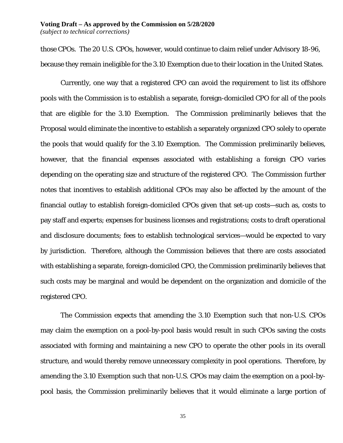those CPOs. The 20 U.S. CPOs, however, would continue to claim relief under Advisory 18-96, because they remain ineligible for the 3.10 Exemption due to their location in the United States.

Currently, one way that a registered CPO can avoid the requirement to list its offshore pools with the Commission is to establish a separate, foreign-domiciled CPO for all of the pools that are eligible for the 3.10 Exemption. The Commission preliminarily believes that the Proposal would eliminate the incentive to establish a separately organized CPO solely to operate the pools that would qualify for the 3.10 Exemption. The Commission preliminarily believes, however, that the financial expenses associated with establishing a foreign CPO varies depending on the operating size and structure of the registered CPO. The Commission further notes that incentives to establish additional CPOs may also be affected by the amount of the financial outlay to establish foreign-domiciled CPOs given that set-up costs—such as, costs to pay staff and experts; expenses for business licenses and registrations; costs to draft operational and disclosure documents; fees to establish technological services—would be expected to vary by jurisdiction. Therefore, although the Commission believes that there are costs associated with establishing a separate, foreign-domiciled CPO, the Commission preliminarily believes that such costs may be marginal and would be dependent on the organization and domicile of the registered CPO.

The Commission expects that amending the 3.10 Exemption such that non-U.S. CPOs may claim the exemption on a pool-by-pool basis would result in such CPOs saving the costs associated with forming and maintaining a new CPO to operate the other pools in its overall structure, and would thereby remove unnecessary complexity in pool operations. Therefore, by amending the 3.10 Exemption such that non-U.S. CPOs may claim the exemption on a pool-bypool basis, the Commission preliminarily believes that it would eliminate a large portion of

35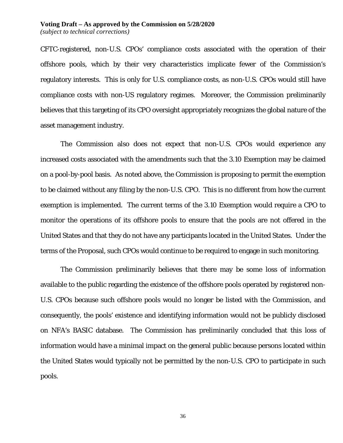#### **Voting Draft – As approved by the Commission on 5/28/2020** *(subject to technical corrections)*

CFTC-registered, non-U.S. CPOs' compliance costs associated with the operation of their offshore pools, which by their very characteristics implicate fewer of the Commission's regulatory interests. This is only for U.S. compliance costs, as non-U.S. CPOs would still have compliance costs with non-US regulatory regimes. Moreover, the Commission preliminarily believes that this targeting of its CPO oversight appropriately recognizes the global nature of the asset management industry.

The Commission also does not expect that non-U.S. CPOs would experience any increased costs associated with the amendments such that the 3.10 Exemption may be claimed on a pool-by-pool basis. As noted above, the Commission is proposing to permit the exemption to be claimed without any filing by the non-U.S. CPO. This is no different from how the current exemption is implemented. The current terms of the 3.10 Exemption would require a CPO to monitor the operations of its offshore pools to ensure that the pools are not offered in the United States and that they do not have any participants located in the United States. Under the terms of the Proposal, such CPOs would continue to be required to engage in such monitoring.

The Commission preliminarily believes that there may be some loss of information available to the public regarding the existence of the offshore pools operated by registered non-U.S. CPOs because such offshore pools would no longer be listed with the Commission, and consequently, the pools' existence and identifying information would not be publicly disclosed on NFA's BASIC database. The Commission has preliminarily concluded that this loss of information would have a minimal impact on the general public because persons located within the United States would typically not be permitted by the non-U.S. CPO to participate in such pools.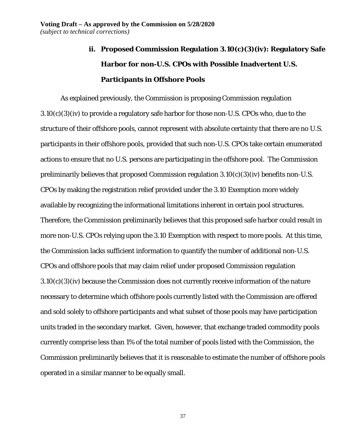# **ii. Proposed Commission Regulation 3.10(c)(3)(iv): Regulatory Safe Harbor for non-U.S. CPOs with Possible Inadvertent U.S. Participants in Offshore Pools**

As explained previously, the Commission is proposing Commission regulation 3.10(c)(3)(iv) to provide a regulatory safe harbor for those non-U.S. CPOs who, due to the structure of their offshore pools, cannot represent with absolute certainty that there are no U.S. participants in their offshore pools, provided that such non-U.S. CPOs take certain enumerated actions to ensure that no U.S. persons are participating in the offshore pool. The Commission preliminarily believes that proposed Commission regulation 3.10(c)(3)(iv) benefits non-U.S. CPOs by making the registration relief provided under the 3.10 Exemption more widely available by recognizing the informational limitations inherent in certain pool structures. Therefore, the Commission preliminarily believes that this proposed safe harbor could result in more non-U.S. CPOs relying upon the 3.10 Exemption with respect to more pools. At this time, the Commission lacks sufficient information to quantify the number of additional non-U.S. CPOs and offshore pools that may claim relief under proposed Commission regulation 3.10(c)(3)(iv) because the Commission does not currently receive information of the nature necessary to determine which offshore pools currently listed with the Commission are offered and sold solely to offshore participants and what subset of those pools may have participation units traded in the secondary market. Given, however, that exchange traded commodity pools currently comprise less than 1% of the total number of pools listed with the Commission, the Commission preliminarily believes that it is reasonable to estimate the number of offshore pools operated in a similar manner to be equally small.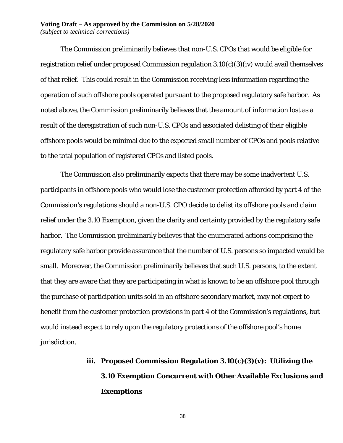#### **Voting Draft – As approved by the Commission on 5/28/2020** *(subject to technical corrections)*

The Commission preliminarily believes that non-U.S. CPOs that would be eligible for registration relief under proposed Commission regulation 3.10(c)(3)(iv) would avail themselves of that relief. This could result in the Commission receiving less information regarding the operation of such offshore pools operated pursuant to the proposed regulatory safe harbor. As noted above, the Commission preliminarily believes that the amount of information lost as a result of the deregistration of such non-U.S. CPOs and associated delisting of their eligible offshore pools would be minimal due to the expected small number of CPOs and pools relative to the total population of registered CPOs and listed pools.

The Commission also preliminarily expects that there may be some inadvertent U.S. participants in offshore pools who would lose the customer protection afforded by part 4 of the Commission's regulations should a non-U.S. CPO decide to delist its offshore pools and claim relief under the 3.10 Exemption, given the clarity and certainty provided by the regulatory safe harbor. The Commission preliminarily believes that the enumerated actions comprising the regulatory safe harbor provide assurance that the number of U.S. persons so impacted would be small. Moreover, the Commission preliminarily believes that such U.S. persons, to the extent that they are aware that they are participating in what is known to be an offshore pool through the purchase of participation units sold in an offshore secondary market, may not expect to benefit from the customer protection provisions in part 4 of the Commission's regulations, but would instead expect to rely upon the regulatory protections of the offshore pool's home jurisdiction.

# **iii. Proposed Commission Regulation 3.10(c)(3)(v): Utilizing the 3.10 Exemption Concurrent with Other Available Exclusions and Exemptions**

38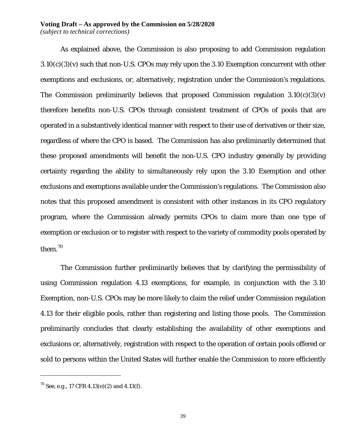# **Voting Draft – As approved by the Commission on 5/28/2020**

*(subject to technical corrections)*

As explained above, the Commission is also proposing to add Commission regulation  $3.10(c)(3)(v)$  such that non-U.S. CPOs may rely upon the 3.10 Exemption concurrent with other exemptions and exclusions, or, alternatively, registration under the Commission's regulations. The Commission preliminarily believes that proposed Commission regulation  $3.10(c)(3)(v)$ therefore benefits non-U.S. CPOs through consistent treatment of CPOs of pools that are operated in a substantively identical manner with respect to their use of derivatives or their size, regardless of where the CPO is based. The Commission has also preliminarily determined that these proposed amendments will benefit the non-U.S. CPO industry generally by providing certainty regarding the ability to simultaneously rely upon the 3.10 Exemption and other exclusions and exemptions available under the Commission's regulations. The Commission also notes that this proposed amendment is consistent with other instances in its CPO regulatory program, where the Commission already permits CPOs to claim more than one type of exemption or exclusion or to register with respect to the variety of commodity pools operated by them.<sup>[70](#page-38-0)</sup>

The Commission further preliminarily believes that by clarifying the permissibility of using Commission regulation 4.13 exemptions, for example, in conjunction with the 3.10 Exemption, non-U.S. CPOs may be more likely to claim the relief under Commission regulation 4.13 for their eligible pools, rather than registering and listing those pools. The Commission preliminarily concludes that clearly establishing the availability of other exemptions and exclusions or, alternatively, registration with respect to the operation of certain pools offered or sold to persons within the United States will further enable the Commission to more efficiently

<span id="page-38-0"></span><sup>70</sup> *See, e.g.*, 17 CFR 4.13(e)(2) and 4.13(f).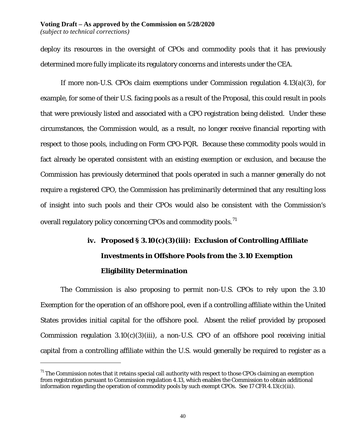deploy its resources in the oversight of CPOs and commodity pools that it has previously determined more fully implicate its regulatory concerns and interests under the CEA.

If more non-U.S. CPOs claim exemptions under Commission regulation 4.13(a)(3), for example, for some of their U.S. facing pools as a result of the Proposal, this could result in pools that were previously listed and associated with a CPO registration being delisted. Under these circumstances, the Commission would, as a result, no longer receive financial reporting with respect to those pools, including on Form CPO-PQR. Because these commodity pools would in fact already be operated consistent with an existing exemption or exclusion, and because the Commission has previously determined that pools operated in such a manner generally do not require a registered CPO, the Commission has preliminarily determined that any resulting loss of insight into such pools and their CPOs would also be consistent with the Commission's overall regulatory policy concerning CPOs and commodity pools.<sup>[71](#page-39-0)</sup>

# **iv. Proposed § 3.10(c)(3)(iii): Exclusion of Controlling Affiliate Investments in Offshore Pools from the 3.10 Exemption Eligibility Determination**

The Commission is also proposing to permit non-U.S. CPOs to rely upon the 3.10 Exemption for the operation of an offshore pool, even if a controlling affiliate within the United States provides initial capital for the offshore pool. Absent the relief provided by proposed Commission regulation  $3.10(c)(3)(iii)$ , a non-U.S. CPO of an offshore pool receiving initial capital from a controlling affiliate within the U.S. would generally be required to register as a

<span id="page-39-0"></span> $71$  The Commission notes that it retains special call authority with respect to those CPOs claiming an exemption from registration pursuant to Commission regulation 4.13, which enables the Commission to obtain additional information regarding the operation of commodity pools by such exempt CPOs. *See* 17 CFR 4.13(c)(iii).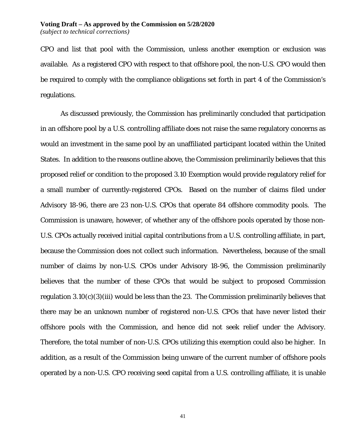CPO and list that pool with the Commission, unless another exemption or exclusion was available. As a registered CPO with respect to that offshore pool, the non-U.S. CPO would then be required to comply with the compliance obligations set forth in part 4 of the Commission's regulations.

As discussed previously, the Commission has preliminarily concluded that participation in an offshore pool by a U.S. controlling affiliate does not raise the same regulatory concerns as would an investment in the same pool by an unaffiliated participant located within the United States. In addition to the reasons outline above, the Commission preliminarily believes that this proposed relief or condition to the proposed 3.10 Exemption would provide regulatory relief for a small number of currently-registered CPOs. Based on the number of claims filed under Advisory 18-96, there are 23 non-U.S. CPOs that operate 84 offshore commodity pools. The Commission is unaware, however, of whether any of the offshore pools operated by those non-U.S. CPOs actually received initial capital contributions from a U.S. controlling affiliate, in part, because the Commission does not collect such information. Nevertheless, because of the small number of claims by non-U.S. CPOs under Advisory 18-96, the Commission preliminarily believes that the number of these CPOs that would be subject to proposed Commission regulation 3.10(c)(3)(iii) would be less than the 23. The Commission preliminarily believes that there may be an unknown number of registered non-U.S. CPOs that have never listed their offshore pools with the Commission, and hence did not seek relief under the Advisory. Therefore, the total number of non-U.S. CPOs utilizing this exemption could also be higher. In addition, as a result of the Commission being unware of the current number of offshore pools operated by a non-U.S. CPO receiving seed capital from a U.S. controlling affiliate, it is unable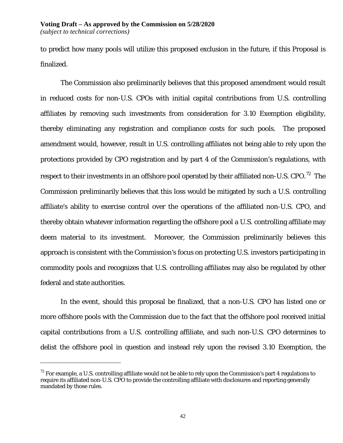to predict how many pools will utilize this proposed exclusion in the future, if this Proposal is finalized.

The Commission also preliminarily believes that this proposed amendment would result in reduced costs for non-U.S. CPOs with initial capital contributions from U.S. controlling affiliates by removing such investments from consideration for 3.10 Exemption eligibility, thereby eliminating any registration and compliance costs for such pools. The proposed amendment would, however, result in U.S. controlling affiliates not being able to rely upon the protections provided by CPO registration and by part 4 of the Commission's regulations, with respect to their investments in an offshore pool operated by their affiliated non-U.S. CPO.<sup>[72](#page-41-0)</sup> The Commission preliminarily believes that this loss would be mitigated by such a U.S. controlling affiliate's ability to exercise control over the operations of the affiliated non-U.S. CPO, and thereby obtain whatever information regarding the offshore pool a U.S. controlling affiliate may deem material to its investment. Moreover, the Commission preliminarily believes this approach is consistent with the Commission's focus on protecting U.S. investors participating in commodity pools and recognizes that U.S. controlling affiliates may also be regulated by other federal and state authorities.

In the event, should this proposal be finalized, that a non-U.S. CPO has listed one or more offshore pools with the Commission due to the fact that the offshore pool received initial capital contributions from a U.S. controlling affiliate, and such non-U.S. CPO determines to delist the offshore pool in question and instead rely upon the revised 3.10 Exemption, the

<span id="page-41-0"></span> $72$  For example, a U.S. controlling affiliate would not be able to rely upon the Commission's part 4 regulations to require its affiliated non-U.S. CPO to provide the controlling affiliate with disclosures and reporting generally mandated by those rules.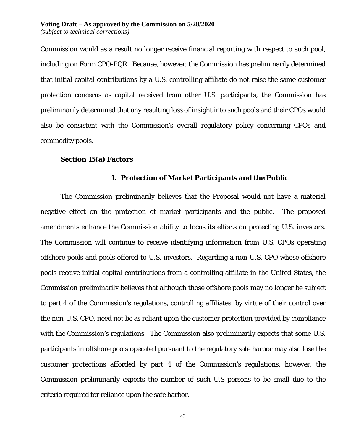Commission would as a result no longer receive financial reporting with respect to such pool, including on Form CPO-PQR. Because, however, the Commission has preliminarily determined that initial capital contributions by a U.S. controlling affiliate do not raise the same customer protection concerns as capital received from other U.S. participants, the Commission has preliminarily determined that any resulting loss of insight into such pools and their CPOs would also be consistent with the Commission's overall regulatory policy concerning CPOs and commodity pools.

#### **Section 15(a) Factors**

#### **1. Protection of Market Participants and the Public**

The Commission preliminarily believes that the Proposal would not have a material negative effect on the protection of market participants and the public. The proposed amendments enhance the Commission ability to focus its efforts on protecting U.S. investors. The Commission will continue to receive identifying information from U.S. CPOs operating offshore pools and pools offered to U.S. investors. Regarding a non-U.S. CPO whose offshore pools receive initial capital contributions from a controlling affiliate in the United States, the Commission preliminarily believes that although those offshore pools may no longer be subject to part 4 of the Commission's regulations, controlling affiliates, by virtue of their control over the non-U.S. CPO, need not be as reliant upon the customer protection provided by compliance with the Commission's regulations. The Commission also preliminarily expects that some U.S. participants in offshore pools operated pursuant to the regulatory safe harbor may also lose the customer protections afforded by part 4 of the Commission's regulations; however, the Commission preliminarily expects the number of such U.S persons to be small due to the criteria required for reliance upon the safe harbor.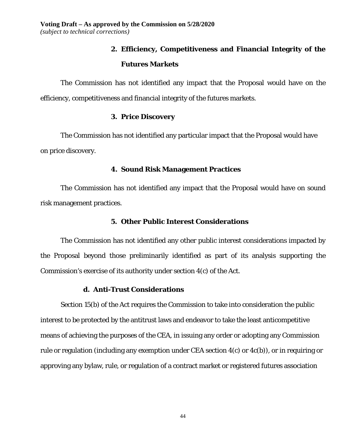# **2. Efficiency, Competitiveness and Financial Integrity of the Futures Markets**

The Commission has not identified any impact that the Proposal would have on the efficiency, competitiveness and financial integrity of the futures markets.

# **3. Price Discovery**

The Commission has not identified any particular impact that the Proposal would have on price discovery.

## **4. Sound Risk Management Practices**

The Commission has not identified any impact that the Proposal would have on sound risk management practices.

# **5. Other Public Interest Considerations**

The Commission has not identified any other public interest considerations impacted by the Proposal beyond those preliminarily identified as part of its analysis supporting the Commission's exercise of its authority under section 4(c) of the Act.

### **d. Anti-Trust Considerations**

Section 15(b) of the Act requires the Commission to take into consideration the public interest to be protected by the antitrust laws and endeavor to take the least anticompetitive means of achieving the purposes of the CEA, in issuing any order or adopting any Commission rule or regulation (including any exemption under CEA section 4(c) or 4c(b)), or in requiring or approving any bylaw, rule, or regulation of a contract market or registered futures association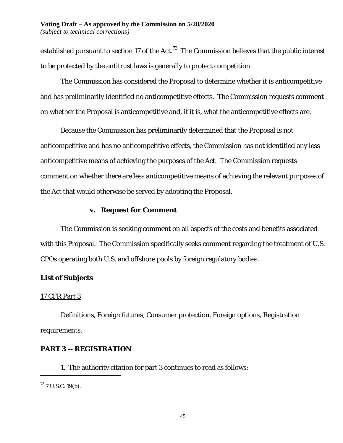established pursuant to section 17 of the Act. $^{73}$  The Commission believes that the public interest to be protected by the antitrust laws is generally to protect competition.

The Commission has considered the Proposal to determine whether it is anticompetitive and has preliminarily identified no anticompetitive effects. The Commission requests comment on whether the Proposal is anticompetitive and, if it is, what the anticompetitive effects are.

Because the Commission has preliminarily determined that the Proposal is not anticompetitive and has no anticompetitive effects, the Commission has not identified any less anticompetitive means of achieving the purposes of the Act. The Commission requests comment on whether there are less anticompetitive means of achieving the relevant purposes of the Act that would otherwise be served by adopting the Proposal.

# **v. Request for Comment**

The Commission is seeking comment on all aspects of the costs and benefits associated with this Proposal. The Commission specifically seeks comment regarding the treatment of U.S. CPOs operating both U.S. and offshore pools by foreign regulatory bodies.

# **List of Subjects**

# 17 CFR Part 3

Definitions, Foreign futures, Consumer protection, Foreign options, Registration requirements.

# **PART 3 -- REGISTRATION**

1. The authority citation for part 3 continues to read as follows:

<span id="page-44-0"></span> $^{73}$  7 U.S.C. 19(b).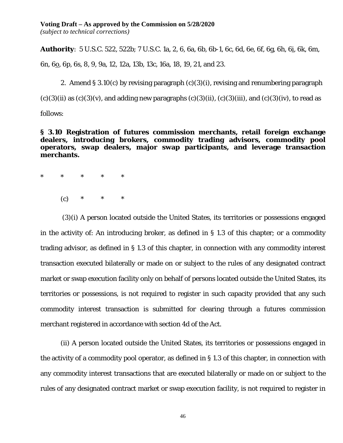# **Voting Draft – As approved by the Commission on 5/28/2020**

*(subject to technical corrections)*

**Authority**: 5 U.S.C. 522, 522b; 7 U.S.C. 1a, 2, 6, 6a, 6b, 6b-1, 6c, 6d, 6e, 6f, 6g, 6h, 6i, 6k, 6m,

6n, 6<u>o</u>, 6p, 6s, 8, 9, 9a, 12, 12a, 13b, 13c, 16a, 18, 19, 21, and 23.

2. Amend § 3.10(c) by revising paragraph (c)(3)(i), revising and renumbering paragraph

 $(c)(3)(ii)$  as  $(c)(3)(v)$ , and adding new paragraphs  $(c)(3)(ii)$ ,  $(c)(3)(iii)$ , and  $(c)(3)(iv)$ , to read as

follows:

**§ 3.10 Registration of futures commission merchants, retail foreign exchange dealers, introducing brokers, commodity trading advisors, commodity pool operators, swap dealers, major swap participants, and leverage transaction merchants.**

- \* \* \* \* \*
	- (c) \* \* \*

(3)(i) A person located outside the United States, its territories or possessions engaged in the activity of: An introducing broker, as defined in § 1.3 of this chapter; or a commodity trading advisor, as defined in § 1.3 of this chapter, in connection with any commodity interest transaction executed bilaterally or made on or subject to the rules of any designated contract market or swap execution facility only on behalf of persons located outside the United States, its territories or possessions, is not required to register in such capacity provided that any such commodity interest transaction is submitted for clearing through a futures commission merchant registered in accordance with section 4d of the Act.

(ii) A person located outside the United States, its territories or possessions engaged in the activity of a commodity pool operator, as defined in § 1.3 of this chapter, in connection with any commodity interest transactions that are executed bilaterally or made on or subject to the rules of any designated contract market or swap execution facility, is not required to register in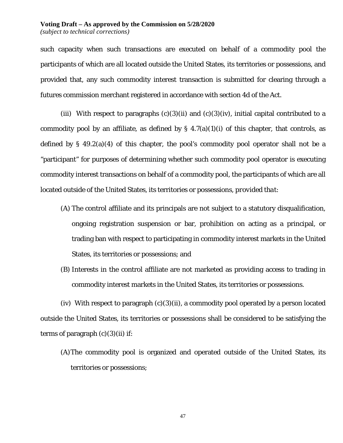#### **Voting Draft – As approved by the Commission on 5/28/2020** *(subject to technical corrections)*

such capacity when such transactions are executed on behalf of a commodity pool the participants of which are all located outside the United States, its territories or possessions, and provided that, any such commodity interest transaction is submitted for clearing through a futures commission merchant registered in accordance with section 4d of the Act.

(iii) With respect to paragraphs  $(c)(3)(ii)$  and  $(c)(3)(iv)$ , initial capital contributed to a commodity pool by an affiliate, as defined by  $\S$  4.7(a)(1)(i) of this chapter, that controls, as defined by § 49.2(a)(4) of this chapter, the pool's commodity pool operator shall not be a "participant" for purposes of determining whether such commodity pool operator is executing commodity interest transactions on behalf of a commodity pool, the participants of which are all located outside of the United States, its territories or possessions, *provided that*:

- (A) The control affiliate and its principals are not subject to a statutory disqualification, ongoing registration suspension or bar, prohibition on acting as a principal, or trading ban with respect to participating in commodity interest markets in the United States, its territories or possessions; and
- (B) Interests in the control affiliate are not marketed as providing access to trading in commodity interest markets in the United States, its territories or possessions.

(iv) With respect to paragraph  $(c)(3)(ii)$ , a commodity pool operated by a person located outside the United States, its territories or possessions shall be considered to be satisfying the terms of paragraph  $(c)(3)(ii)$  if:

(A)The commodity pool is organized and operated outside of the United States, its territories or possessions;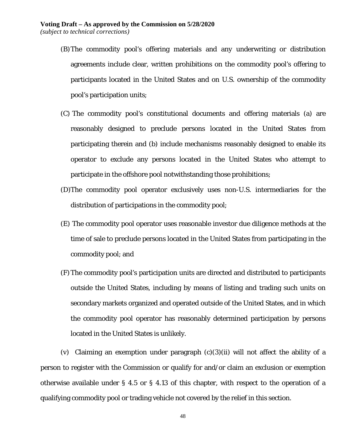- (B)The commodity pool's offering materials and any underwriting or distribution agreements include clear, written prohibitions on the commodity pool's offering to participants located in the United States and on U.S. ownership of the commodity pool's participation units;
- (C) The commodity pool's constitutional documents and offering materials (a) are reasonably designed to preclude persons located in the United States from participating therein and (b) include mechanisms reasonably designed to enable its operator to exclude any persons located in the United States who attempt to participate in the offshore pool notwithstanding those prohibitions;
- (D)The commodity pool operator exclusively uses non-U.S. intermediaries for the distribution of participations in the commodity pool;
- (E) The commodity pool operator uses reasonable investor due diligence methods at the time of sale to preclude persons located in the United States from participating in the commodity pool; and
- (F)The commodity pool's participation units are directed and distributed to participants outside the United States, including by means of listing and trading such units on secondary markets organized and operated outside of the United States, and in which the commodity pool operator has reasonably determined participation by persons located in the United States is unlikely.

(v) Claiming an exemption under paragraph  $(c)(3)(ii)$  will not affect the ability of a person to register with the Commission or qualify for and/or claim an exclusion or exemption otherwise available under § 4.5 or § 4.13 of this chapter, with respect to the operation of a qualifying commodity pool or trading vehicle not covered by the relief in this section.